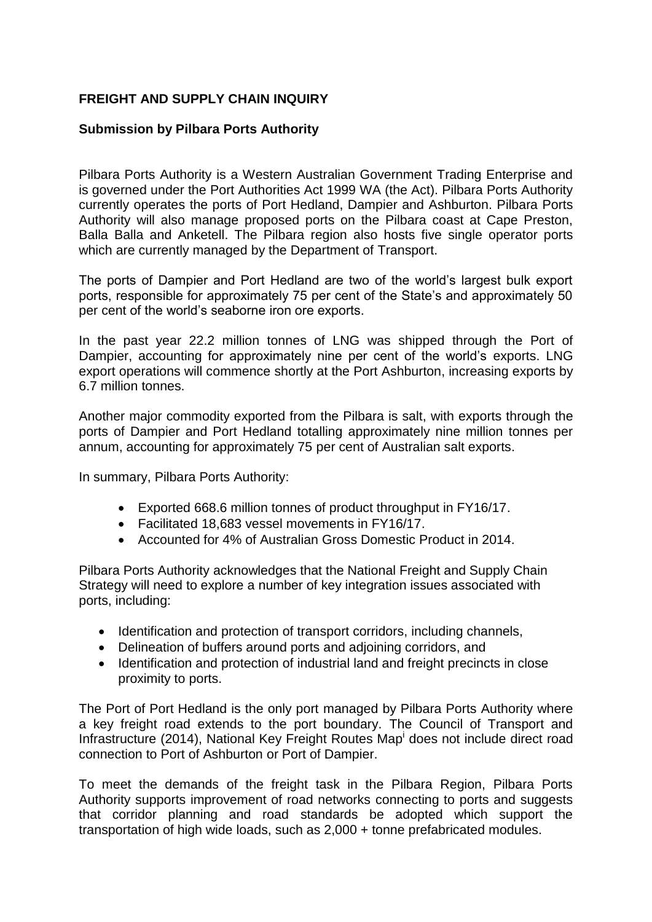## **FREIGHT AND SUPPLY CHAIN INQUIRY**

## **Submission by Pilbara Ports Authority**

Pilbara Ports Authority is a Western Australian Government Trading Enterprise and is governed under the Port Authorities Act 1999 WA (the Act). Pilbara Ports Authority currently operates the ports of Port Hedland, Dampier and Ashburton. Pilbara Ports Authority will also manage proposed ports on the Pilbara coast at Cape Preston, Balla Balla and Anketell. The Pilbara region also hosts five single operator ports which are currently managed by the Department of Transport.

The ports of Dampier and Port Hedland are two of the world's largest bulk export ports, responsible for approximately 75 per cent of the State's and approximately 50 per cent of the world's seaborne iron ore exports.

In the past year 22.2 million tonnes of LNG was shipped through the Port of Dampier, accounting for approximately nine per cent of the world's exports. LNG export operations will commence shortly at the Port Ashburton, increasing exports by 6.7 million tonnes.

Another major commodity exported from the Pilbara is salt, with exports through the ports of Dampier and Port Hedland totalling approximately nine million tonnes per annum, accounting for approximately 75 per cent of Australian salt exports.

In summary, Pilbara Ports Authority:

- Exported 668.6 million tonnes of product throughput in FY16/17.
- Facilitated 18,683 vessel movements in FY16/17.
- Accounted for 4% of Australian Gross Domestic Product in 2014.

Pilbara Ports Authority acknowledges that the National Freight and Supply Chain Strategy will need to explore a number of key integration issues associated with ports, including:

- Identification and protection of transport corridors, including channels,
- Delineation of buffers around ports and adjoining corridors, and
- Identification and protection of industrial land and freight precincts in close proximity to ports.

The Port of Port Hedland is the only port managed by Pilbara Ports Authority where a key freight road extends to the port boundary. The Council of Transport and Infrastructure (2014), National Key Freight Routes Map<sup>i</sup> does not include direct road connection to Port of Ashburton or Port of Dampier.

To meet the demands of the freight task in the Pilbara Region, Pilbara Ports Authority supports improvement of road networks connecting to ports and suggests that corridor planning and road standards be adopted which support the transportation of high wide loads, such as 2,000 + tonne prefabricated modules.